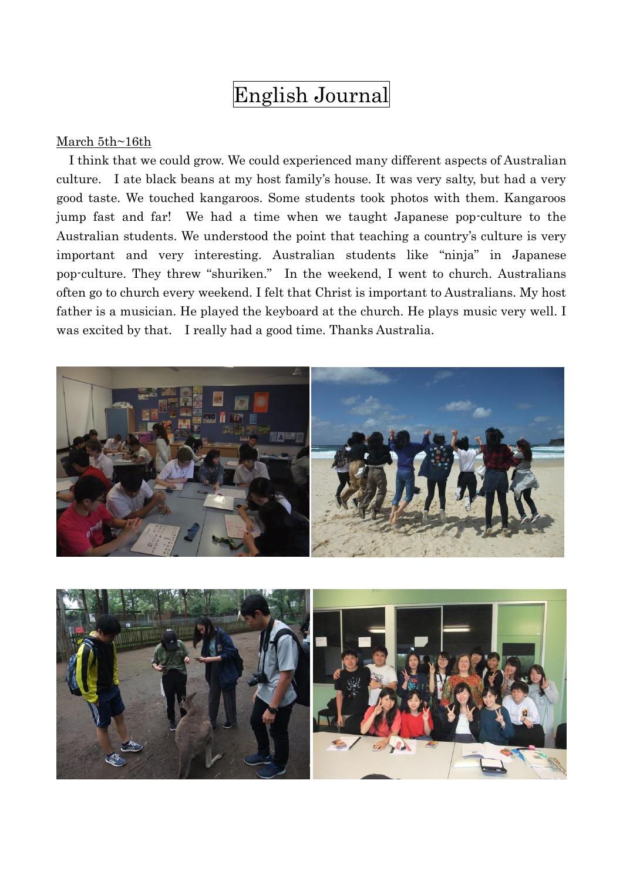# English Journal

#### March 5th~16th

I think that we could grow. We could experienced many different aspects of Australian culture. I ate black beans at my host family's house. It was very salty, but had a very good taste. We touched kangaroos. Some students took photos with them. Kangaroos jump fast and far! We had a time when we taught Japanese pop-culture to the Australian students. We understood the point that teaching a country's culture is very important and very interesting. Australian students like "ninja" in Japanese pop-culture. They threw "shuriken." In the weekend, I went to church. Australians often go to church every weekend. I felt that Christ is important to Australians. My host father is a musician. He played the keyboard at the church. He plays music very well. I was excited by that. I really had a good time. Thanks Australia.



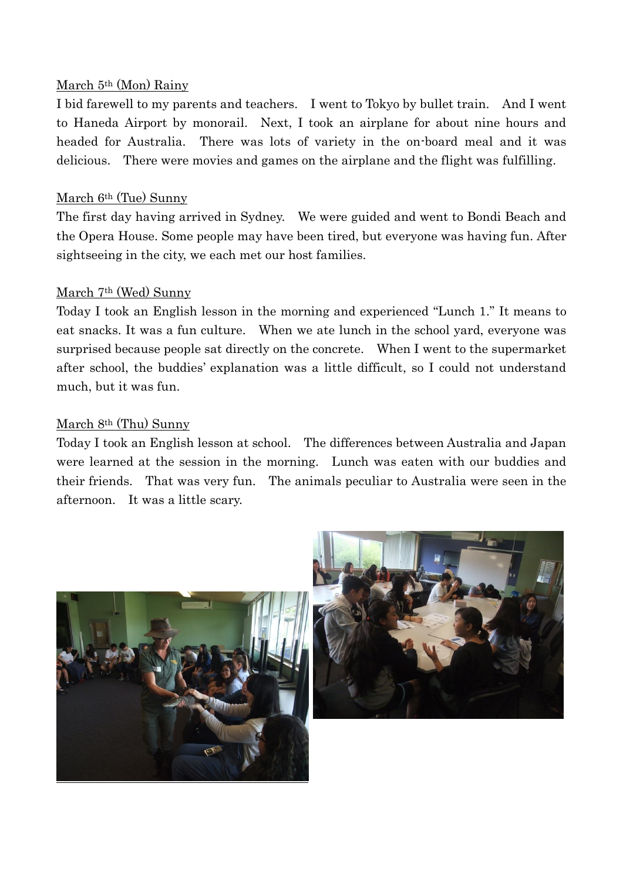#### March 5th (Mon) Rainy

I bid farewell to my parents and teachers. I went to Tokyo by bullet train. And I went to Haneda Airport by monorail. Next, I took an airplane for about nine hours and headed for Australia. There was lots of variety in the on-board meal and it was delicious. There were movies and games on the airplane and the flight was fulfilling.

### March 6th (Tue) Sunny

The first day having arrived in Sydney. We were guided and went to Bondi Beach and the Opera House. Some people may have been tired, but everyone was having fun. After sightseeing in the city, we each met our host families.

#### March 7th (Wed) Sunny

Today I took an English lesson in the morning and experienced "Lunch 1." It means to eat snacks. It was a fun culture. When we ate lunch in the school yard, everyone was surprised because people sat directly on the concrete. When I went to the supermarket after school, the buddies' explanation was a little difficult, so I could not understand much, but it was fun.

#### March 8th (Thu) Sunny

Today I took an English lesson at school. The differences between Australia and Japan were learned at the session in the morning. Lunch was eaten with our buddies and their friends. That was very fun. The animals peculiar to Australia were seen in the afternoon. It was a little scary.



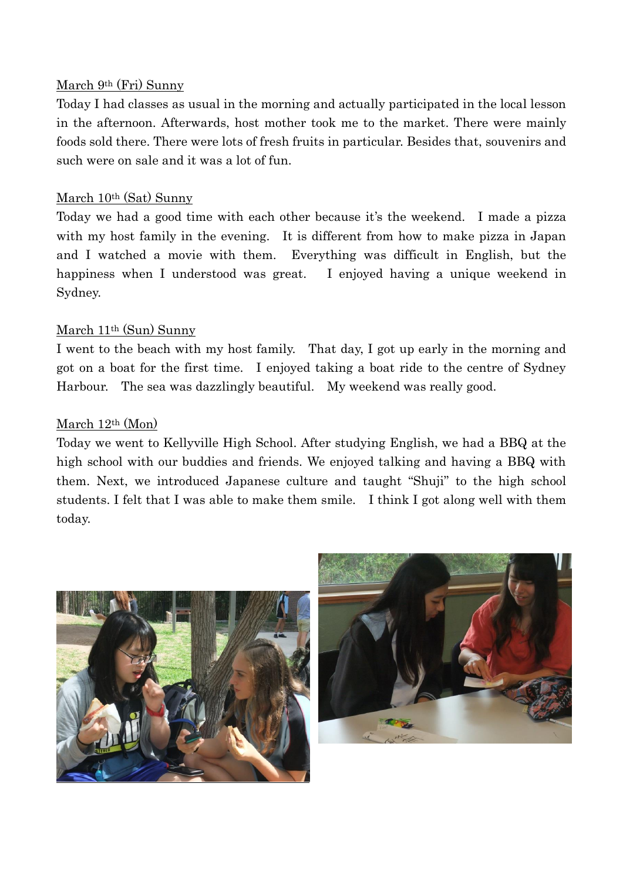### March 9th (Fri) Sunny

Today I had classes as usual in the morning and actually participated in the local lesson in the afternoon. Afterwards, host mother took me to the market. There were mainly foods sold there. There were lots of fresh fruits in particular. Besides that, souvenirs and such were on sale and it was a lot of fun.

## March 10th (Sat) Sunny

Today we had a good time with each other because it's the weekend. I made a pizza with my host family in the evening. It is different from how to make pizza in Japan and I watched a movie with them. Everything was difficult in English, but the happiness when I understood was great. I enjoyed having a unique weekend in Sydney.

## March 11th (Sun) Sunny

I went to the beach with my host family. That day, I got up early in the morning and got on a boat for the first time. I enjoyed taking a boat ride to the centre of Sydney Harbour. The sea was dazzlingly beautiful. My weekend was really good.

## March 12th (Mon)

Today we went to Kellyville High School. After studying English, we had a BBQ at the high school with our buddies and friends. We enjoyed talking and having a BBQ with them. Next, we introduced Japanese culture and taught "Shuji" to the high school students. I felt that I was able to make them smile. I think I got along well with them today.